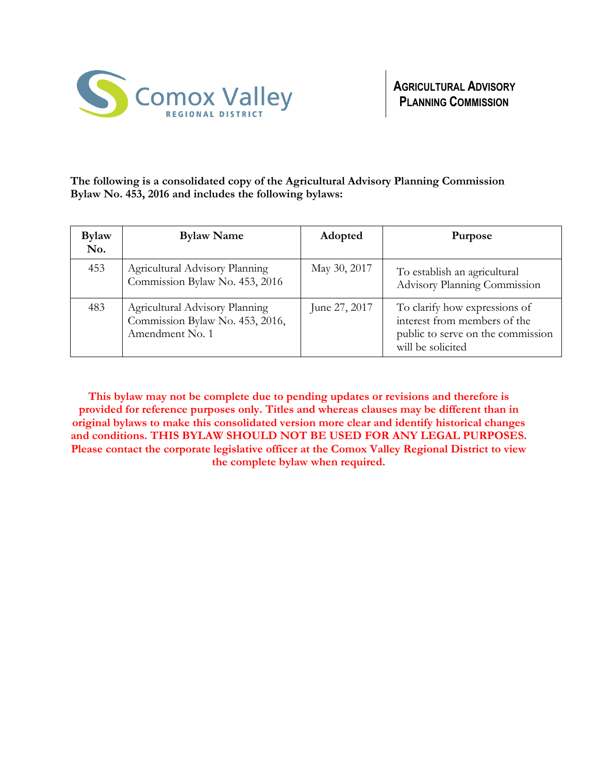

**The following is a consolidated copy of the Agricultural Advisory Planning Commission Bylaw No. 453, 2016 and includes the following bylaws:**

| <b>Bylaw</b><br>No. | <b>Bylaw Name</b>                                                                    | Adopted       | <b>Purpose</b>                                                                                                          |
|---------------------|--------------------------------------------------------------------------------------|---------------|-------------------------------------------------------------------------------------------------------------------------|
| 453                 | Agricultural Advisory Planning<br>Commission Bylaw No. 453, 2016                     | May 30, 2017  | To establish an agricultural<br>Advisory Planning Commission                                                            |
| 483                 | Agricultural Advisory Planning<br>Commission Bylaw No. 453, 2016,<br>Amendment No. 1 | June 27, 2017 | To clarify how expressions of<br>interest from members of the<br>public to serve on the commission<br>will be solicited |

**This bylaw may not be complete due to pending updates or revisions and therefore is provided for reference purposes only. Titles and whereas clauses may be different than in original bylaws to make this consolidated version more clear and identify historical changes and conditions. THIS BYLAW SHOULD NOT BE USED FOR ANY LEGAL PURPOSES. Please contact the corporate legislative officer at the Comox Valley Regional District to view the complete bylaw when required.**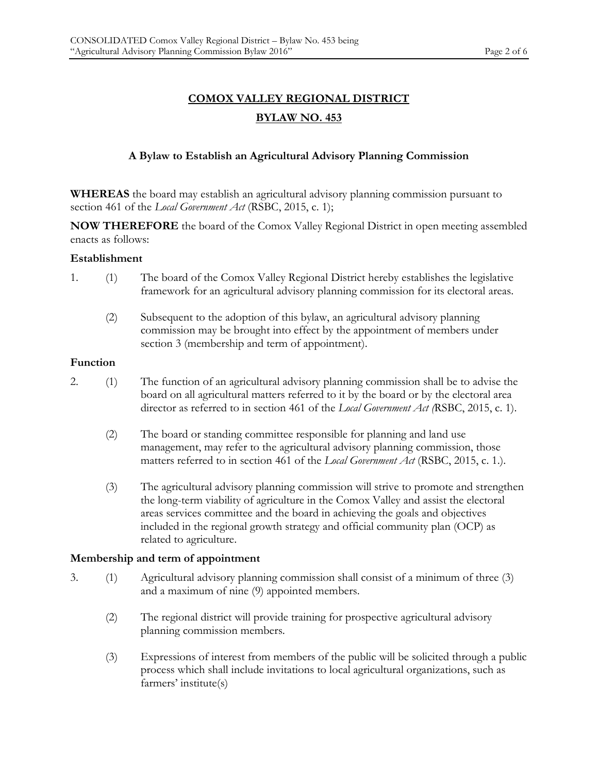# **COMOX VALLEY REGIONAL DISTRICT BYLAW NO. 453**

# **A Bylaw to Establish an Agricultural Advisory Planning Commission**

**WHEREAS** the board may establish an agricultural advisory planning commission pursuant to section 461 of the *Local Government Act* (RSBC, 2015, c. 1);

**NOW THEREFORE** the board of the Comox Valley Regional District in open meeting assembled enacts as follows:

#### **Establishment**

- 1. (1) The board of the Comox Valley Regional District hereby establishes the legislative framework for an agricultural advisory planning commission for its electoral areas.
	- (2) Subsequent to the adoption of this bylaw, an agricultural advisory planning commission may be brought into effect by the appointment of members under section 3 (membership and term of appointment).

#### **Function**

- 2. (1) The function of an agricultural advisory planning commission shall be to advise the board on all agricultural matters referred to it by the board or by the electoral area director as referred to in section 461 of the *Local Government Act (*RSBC, 2015, c. 1).
	- (2) The board or standing committee responsible for planning and land use management, may refer to the agricultural advisory planning commission, those matters referred to in section 461 of the *Local Government Act* (RSBC, 2015, c. 1.).
	- (3) The agricultural advisory planning commission will strive to promote and strengthen the long-term viability of agriculture in the Comox Valley and assist the electoral areas services committee and the board in achieving the goals and objectives included in the regional growth strategy and official community plan (OCP) as related to agriculture.

#### **Membership and term of appointment**

- 3. (1) Agricultural advisory planning commission shall consist of a minimum of three (3) and a maximum of nine (9) appointed members.
	- (2) The regional district will provide training for prospective agricultural advisory planning commission members.
	- (3) Expressions of interest from members of the public will be solicited through a public process which shall include invitations to local agricultural organizations, such as farmers' institute(s)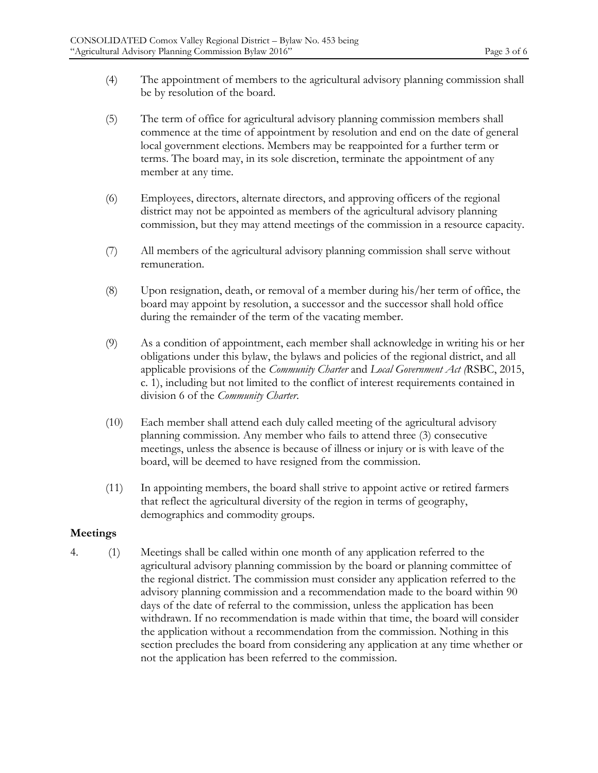- (4) The appointment of members to the agricultural advisory planning commission shall be by resolution of the board.
- (5) The term of office for agricultural advisory planning commission members shall commence at the time of appointment by resolution and end on the date of general local government elections. Members may be reappointed for a further term or terms. The board may, in its sole discretion, terminate the appointment of any member at any time.
- (6) Employees, directors, alternate directors, and approving officers of the regional district may not be appointed as members of the agricultural advisory planning commission, but they may attend meetings of the commission in a resource capacity.
- (7) All members of the agricultural advisory planning commission shall serve without remuneration.
- (8) Upon resignation, death, or removal of a member during his/her term of office, the board may appoint by resolution, a successor and the successor shall hold office during the remainder of the term of the vacating member.
- (9) As a condition of appointment, each member shall acknowledge in writing his or her obligations under this bylaw, the bylaws and policies of the regional district, and all applicable provisions of the *Community Charter* and *Local Government Act (*RSBC, 2015, c. 1), including but not limited to the conflict of interest requirements contained in division 6 of the *Community Charter*.
- (10) Each member shall attend each duly called meeting of the agricultural advisory planning commission. Any member who fails to attend three (3) consecutive meetings, unless the absence is because of illness or injury or is with leave of the board, will be deemed to have resigned from the commission.
- (11) In appointing members, the board shall strive to appoint active or retired farmers that reflect the agricultural diversity of the region in terms of geography, demographics and commodity groups.

## **Meetings**

4. (1) Meetings shall be called within one month of any application referred to the agricultural advisory planning commission by the board or planning committee of the regional district. The commission must consider any application referred to the advisory planning commission and a recommendation made to the board within 90 days of the date of referral to the commission, unless the application has been withdrawn. If no recommendation is made within that time, the board will consider the application without a recommendation from the commission. Nothing in this section precludes the board from considering any application at any time whether or not the application has been referred to the commission.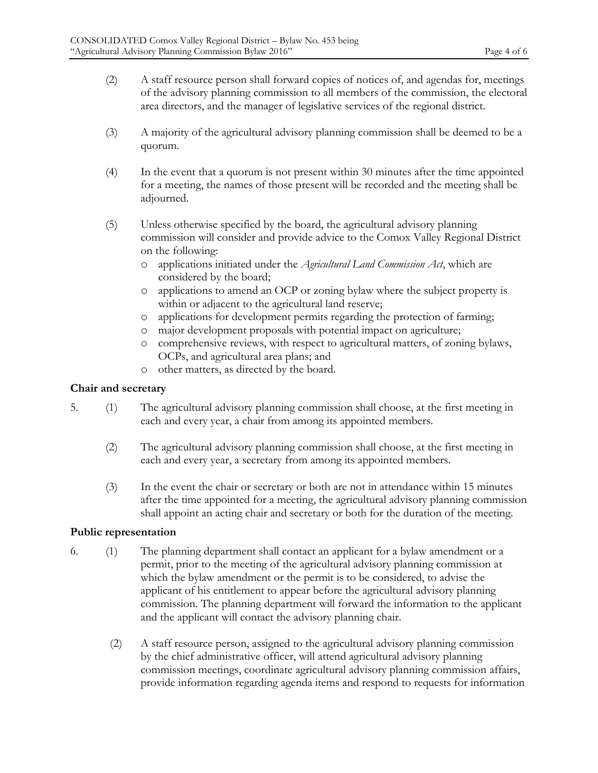- (2) A staff resource person shall forward copies of notices of, and agendas for, meetings of the advisory planning commission to all members of the commission, the electoral area directors, and the manager of legislative services of the regional district.
- (3) A majority of the agricultural advisory planning commission shall be deemed to be a quorum.
- (4) In the event that a quorum is not present within 30 minutes after the time appointed for a meeting, the names of those present will be recorded and the meeting shall be adjourned.
- (5) Unless otherwise specified by the board, the agricultural advisory planning commission will consider and provide advice to the Comox Valley Regional District on the following:
	- o applications initiated under the *Agricultural Land Commission Act*, which are considered by the board;
	- o applications to amend an OCP or zoning bylaw where the subject property is within or adjacent to the agricultural land reserve;
	- o applications for development permits regarding the protection of farming;
	- o major development proposals with potential impact on agriculture;
	- o comprehensive reviews, with respect to agricultural matters, of zoning bylaws, OCPs, and agricultural area plans; and
	- o other matters, as directed by the board.

### **Chair and secretary**

- 5. (1) The agricultural advisory planning commission shall choose, at the first meeting in each and every year, a chair from among its appointed members.
	- (2) The agricultural advisory planning commission shall choose, at the first meeting in each and every year, a secretary from among its appointed members.
	- (3) In the event the chair or secretary or both are not in attendance within 15 minutes after the time appointed for a meeting, the agricultural advisory planning commission shall appoint an acting chair and secretary or both for the duration of the meeting.

#### **Public representation**

- 6. (1) The planning department shall contact an applicant for a bylaw amendment or a permit, prior to the meeting of the agricultural advisory planning commission at which the bylaw amendment or the permit is to be considered, to advise the applicant of his entitlement to appear before the agricultural advisory planning commission. The planning department will forward the information to the applicant and the applicant will contact the advisory planning chair.
	- (2) A staff resource person, assigned to the agricultural advisory planning commission by the chief administrative officer, will attend agricultural advisory planning commission meetings, coordinate agricultural advisory planning commission affairs, provide information regarding agenda items and respond to requests for information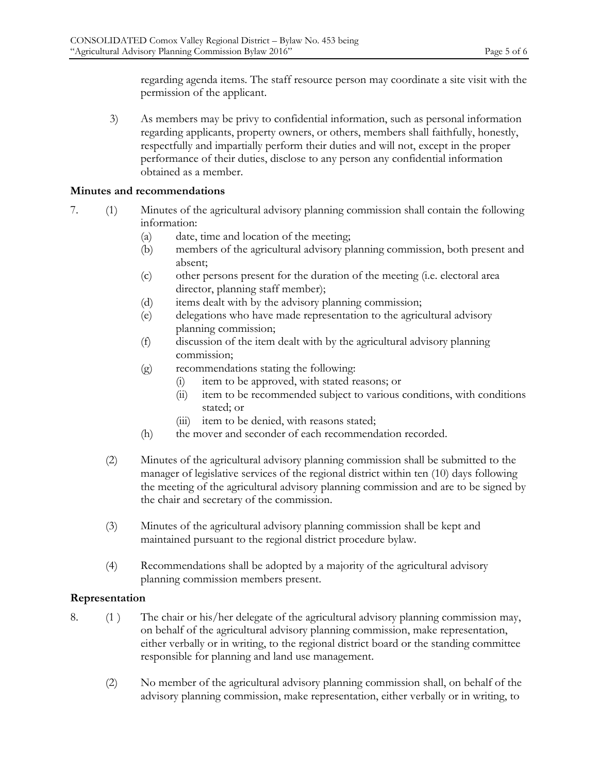regarding agenda items. The staff resource person may coordinate a site visit with the permission of the applicant.

3) As members may be privy to confidential information, such as personal information regarding applicants, property owners, or others, members shall faithfully, honestly, respectfully and impartially perform their duties and will not, except in the proper performance of their duties, disclose to any person any confidential information obtained as a member.

## **Minutes and recommendations**

- 7. (1) Minutes of the agricultural advisory planning commission shall contain the following information:
	- (a) date, time and location of the meeting;
	- (b) members of the agricultural advisory planning commission, both present and absent;
	- (c) other persons present for the duration of the meeting (i.e. electoral area director, planning staff member);
	- (d) items dealt with by the advisory planning commission;
	- (e) delegations who have made representation to the agricultural advisory planning commission;
	- (f) discussion of the item dealt with by the agricultural advisory planning commission;
	- (g) recommendations stating the following:
		- (i) item to be approved, with stated reasons; or
		- (ii) item to be recommended subject to various conditions, with conditions stated; or
		- (iii) item to be denied, with reasons stated;
	- (h) the mover and seconder of each recommendation recorded.
	- (2) Minutes of the agricultural advisory planning commission shall be submitted to the manager of legislative services of the regional district within ten (10) days following the meeting of the agricultural advisory planning commission and are to be signed by the chair and secretary of the commission.
	- (3) Minutes of the agricultural advisory planning commission shall be kept and maintained pursuant to the regional district procedure bylaw.
	- (4) Recommendations shall be adopted by a majority of the agricultural advisory planning commission members present.

## **Representation**

- 8. (1 ) The chair or his/her delegate of the agricultural advisory planning commission may, on behalf of the agricultural advisory planning commission, make representation, either verbally or in writing, to the regional district board or the standing committee responsible for planning and land use management.
	- (2) No member of the agricultural advisory planning commission shall, on behalf of the advisory planning commission, make representation, either verbally or in writing, to